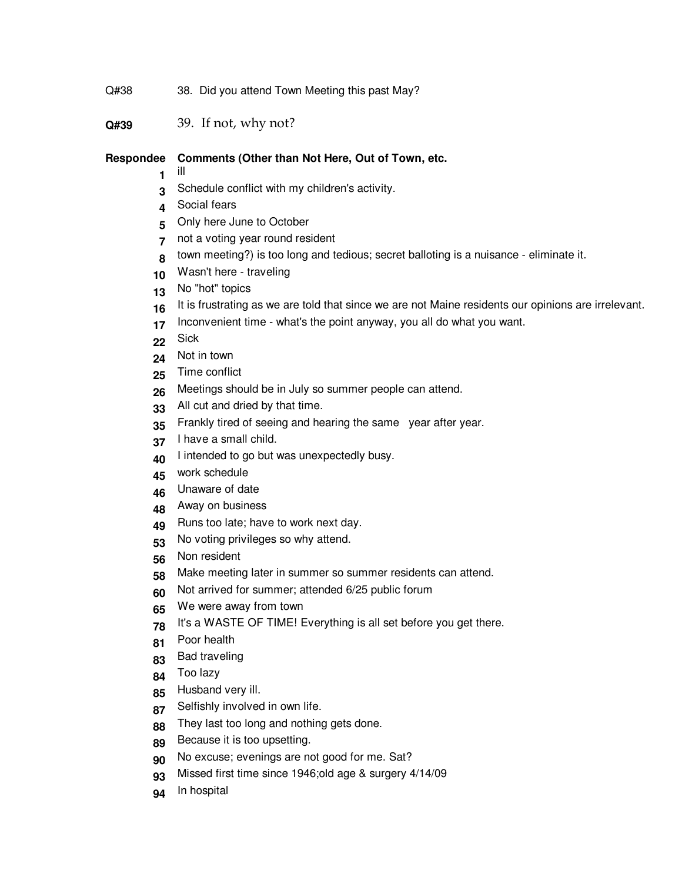- Q#38 38. Did you attend Town Meeting this past May?
- **Q#39** 39. If not, why not?

## **Respondee Comments (Other than Not Here, Out of Town, etc.**

- ill
- Schedule conflict with my children's activity.
- Social fears
- Only here June to October
- not a voting year round resident
- town meeting?) is too long and tedious; secret balloting is a nuisance - eliminate it.
- Wasn't here traveling
- No "hot" topics
- 16 It is frustrating as we are told that since we are not Maine residents our opinions are irrelevant.
- Inconvenient time what's the point anyway, you all do what you want.
- Sick
- Not in town
- Time conflict
- Meetings should be in July so summer people can attend.
- All cut and dried by that time.
- Frankly tired of seeing and hearing the same year after year.
- I have a small child.
- I intended to go but was unexpectedly busy.
- work schedule
- Unaware of date
- Away on business
- Runs too late; have to work next day.
- No voting privileges so why attend.
- Non resident
- Make meeting later in summer so summer residents can attend.
- Not arrived for summer; attended 6/25 public forum
- We were away from town
- It's a WASTE OF TIME! Everything is all set before you get there.
- Poor health
- Bad traveling
- Too lazy
- Husband very ill.
- Selfishly involved in own life.
- They last too long and nothing gets done.
- Because it is too upsetting.
- No excuse; evenings are not good for me. Sat?
- Missed first time since 1946;old age & surgery 4/14/09
- In hospital